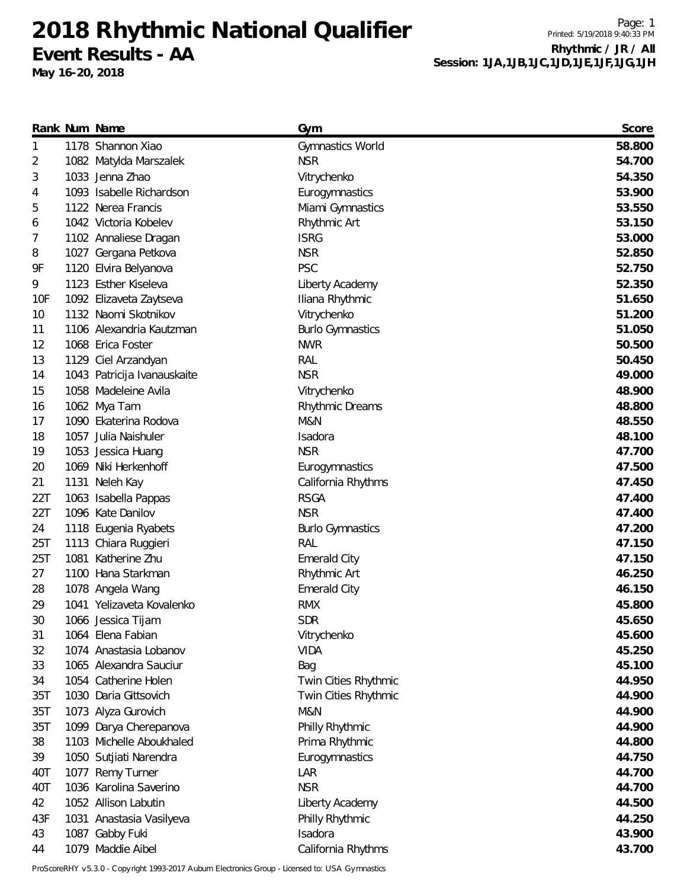**2018 Rhythmic National Qualifier Event Results - AA**

**May 16-20, 2018**

Page: 1 Printed: 5/19/2018 9:40:33 PM **Rhythmic / JR / All Session: 1JA,1JB,1JC,1JD,1JE,1JF,1JG,1JH**

|     | Rank Num Name               | Gym                     | Score  |
|-----|-----------------------------|-------------------------|--------|
| 1   | 1178 Shannon Xiao           | Gymnastics World        | 58.800 |
| 2   | 1082 Matylda Marszalek      | <b>NSR</b>              | 54.700 |
| 3   | 1033 Jenna Zhao             | Vitrychenko             | 54.350 |
| 4   | 1093 Isabelle Richardson    | Eurogymnastics          | 53.900 |
| 5   | 1122 Nerea Francis          | Miami Gymnastics        | 53.550 |
| 6   | 1042 Victoria Kobelev       | Rhythmic Art            | 53.150 |
| 7   | 1102 Annaliese Dragan       | <b>ISRG</b>             | 53.000 |
| 8   | 1027 Gergana Petkova        | <b>NSR</b>              | 52.850 |
| 9F  | 1120 Elvira Belyanova       | <b>PSC</b>              | 52.750 |
| 9   | 1123 Esther Kiseleva        | Liberty Academy         | 52.350 |
| 10F | 1092 Elizaveta Zaytseva     | Iliana Rhythmic         | 51.650 |
| 10  | 1132 Naomi Skotnikov        | Vitrychenko             | 51.200 |
| 11  | 1106 Alexandria Kautzman    | <b>Burlo Gymnastics</b> | 51.050 |
| 12  | 1068 Erica Foster           | <b>NWR</b>              | 50.500 |
| 13  | 1129 Ciel Arzandyan         | RAL                     | 50.450 |
| 14  | 1043 Patricija Ivanauskaite | <b>NSR</b>              | 49.000 |
| 15  | 1058 Madeleine Avila        | Vitrychenko             | 48.900 |
| 16  | 1062 Mya Tam                | <b>Rhythmic Dreams</b>  | 48.800 |
| 17  | 1090 Ekaterina Rodova       | M&N                     | 48.550 |
| 18  | 1057 Julia Naishuler        | Isadora                 | 48.100 |
| 19  | 1053 Jessica Huang          | <b>NSR</b>              | 47.700 |
| 20  | 1069 Niki Herkenhoff        | Eurogymnastics          | 47.500 |
| 21  | 1131 Neleh Kay              | California Rhythms      | 47.450 |
| 22T | 1063 Isabella Pappas        | <b>RSGA</b>             | 47.400 |
| 22T | 1096 Kate Danilov           | <b>NSR</b>              | 47.400 |
| 24  | 1118 Eugenia Ryabets        | <b>Burlo Gymnastics</b> | 47.200 |
| 25T | 1113 Chiara Ruggieri        | RAL                     | 47.150 |
| 25T | 1081 Katherine Zhu          | <b>Emerald City</b>     | 47.150 |
| 27  | 1100 Hana Starkman          | Rhythmic Art            | 46.250 |
| 28  | 1078 Angela Wang            | <b>Emerald City</b>     | 46.150 |
| 29  | 1041 Yelizaveta Kovalenko   | <b>RMX</b>              | 45.800 |
| 30  | 1066 Jessica Tijam          | <b>SDR</b>              | 45.650 |
| 31  | 1064 Elena Fabian           | Vitrychenko             | 45.600 |
| 32  | 1074 Anastasia Lobanov      | <b>VIDA</b>             | 45.250 |
| 33  | 1065 Alexandra Sauciur      | Bag                     | 45.100 |
| 34  | 1054 Catherine Holen        | Twin Cities Rhythmic    | 44.950 |
| 35T | 1030 Daria Gittsovich       | Twin Cities Rhythmic    | 44.900 |
| 35T | 1073 Alyza Gurovich         | M&N                     | 44.900 |
| 35T | 1099 Darya Cherepanova      | Philly Rhythmic         | 44.900 |
| 38  | 1103 Michelle Aboukhaled    | Prima Rhythmic          | 44.800 |
| 39  | 1050 Sutjiati Narendra      | Eurogymnastics          | 44.750 |
| 40T | 1077 Remy Turner            | LAR                     | 44.700 |
| 40T | 1036 Karolina Saverino      | <b>NSR</b>              | 44.700 |
| 42  | 1052 Allison Labutin        | Liberty Academy         | 44.500 |
| 43F | 1031 Anastasia Vasilyeva    | Philly Rhythmic         | 44.250 |
| 43  | 1087 Gabby Fuki             | Isadora                 | 43.900 |
| 44  | 1079 Maddie Aibel           | California Rhythms      | 43.700 |

ProScoreRHY v5.3.0 - Copyright 1993-2017 Auburn Electronics Group - Licensed to: USA Gymnastics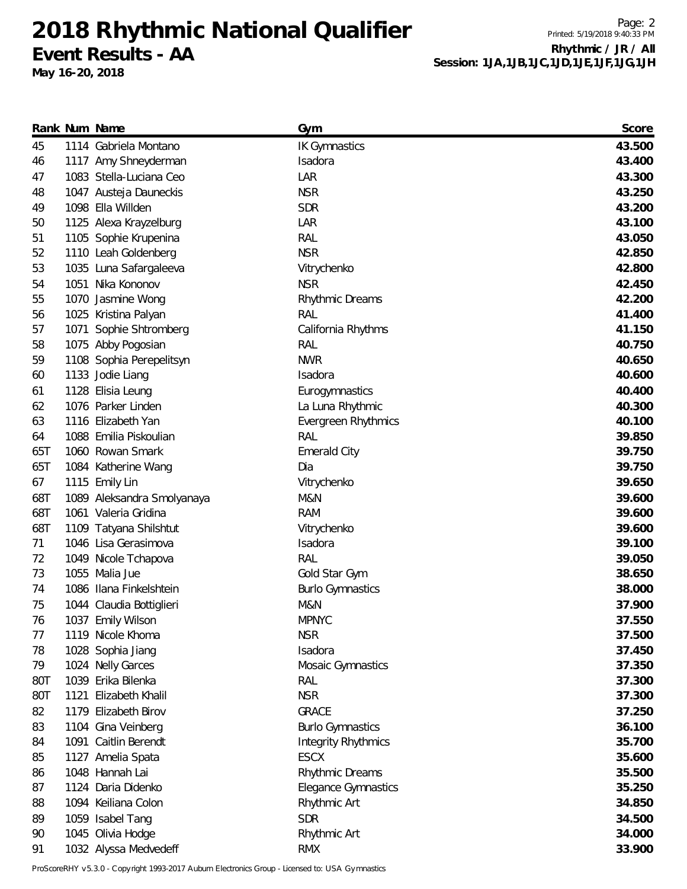**2018 Rhythmic National Qualifier Event Results - AA**

**May 16-20, 2018**

Page: 2 Printed: 5/19/2018 9:40:33 PM **Rhythmic / JR / All Session: 1JA,1JB,1JC,1JD,1JE,1JF,1JG,1JH**

|     | Rank Num Name              | Gym                        | Score  |
|-----|----------------------------|----------------------------|--------|
| 45  | 1114 Gabriela Montano      | <b>IK Gymnastics</b>       | 43.500 |
| 46  | 1117 Amy Shneyderman       | Isadora                    | 43.400 |
| 47  | 1083 Stella-Luciana Ceo    | LAR                        | 43.300 |
| 48  | 1047 Austeja Dauneckis     | <b>NSR</b>                 | 43.250 |
| 49  | 1098 Ella Willden          | <b>SDR</b>                 | 43.200 |
| 50  | 1125 Alexa Krayzelburg     | LAR                        | 43.100 |
| 51  | 1105 Sophie Krupenina      | RAL                        | 43.050 |
| 52  | 1110 Leah Goldenberg       | <b>NSR</b>                 | 42.850 |
| 53  | 1035 Luna Safargaleeva     | Vitrychenko                | 42.800 |
| 54  | 1051 Nika Kononov          | <b>NSR</b>                 | 42.450 |
| 55  | 1070 Jasmine Wong          | Rhythmic Dreams            | 42.200 |
| 56  | 1025 Kristina Palyan       | <b>RAL</b>                 | 41.400 |
| 57  | 1071 Sophie Shtromberg     | California Rhythms         | 41.150 |
| 58  | 1075 Abby Pogosian         | RAL                        | 40.750 |
| 59  | 1108 Sophia Perepelitsyn   | <b>NWR</b>                 | 40.650 |
| 60  | 1133 Jodie Liang           | Isadora                    | 40.600 |
| 61  | 1128 Elisia Leung          | Eurogymnastics             | 40.400 |
| 62  | 1076 Parker Linden         | La Luna Rhythmic           | 40.300 |
| 63  | 1116 Elizabeth Yan         | Evergreen Rhythmics        | 40.100 |
| 64  | 1088 Emilia Piskoulian     | RAL                        | 39.850 |
| 65T | 1060 Rowan Smark           | <b>Emerald City</b>        | 39.750 |
| 65T | 1084 Katherine Wang        | Dia                        | 39.750 |
| 67  | 1115 Emily Lin             | Vitrychenko                | 39.650 |
| 68T | 1089 Aleksandra Smolyanaya | M&N                        | 39.600 |
| 68T | 1061 Valeria Gridina       | <b>RAM</b>                 | 39.600 |
| 68T | 1109 Tatyana Shilshtut     | Vitrychenko                | 39.600 |
| 71  | 1046 Lisa Gerasimova       | Isadora                    | 39.100 |
| 72  | 1049 Nicole Tchapova       | RAL                        | 39.050 |
| 73  | 1055 Malia Jue             | Gold Star Gym              | 38.650 |
| 74  | 1086 Ilana Finkelshtein    | <b>Burlo Gymnastics</b>    | 38.000 |
| 75  | 1044 Claudia Bottiglieri   | M&N                        | 37.900 |
| 76  | 1037 Emily Wilson          | <b>MPNYC</b>               | 37.550 |
| 77  | 1119 Nicole Khoma          | <b>NSR</b>                 | 37.500 |
| 78  | 1028 Sophia Jiang          | Isadora                    | 37.450 |
| 79  | 1024 Nelly Garces          | Mosaic Gymnastics          | 37.350 |
| 80T | 1039 Erika Bilenka         | RAL                        | 37.300 |
| 80T | 1121 Elizabeth Khalil      | <b>NSR</b>                 | 37.300 |
| 82  | 1179 Elizabeth Birov       | <b>GRACE</b>               | 37.250 |
| 83  | 1104 Gina Veinberg         | <b>Burlo Gymnastics</b>    | 36.100 |
| 84  | 1091 Caitlin Berendt       | <b>Integrity Rhythmics</b> | 35.700 |
| 85  | 1127 Amelia Spata          | <b>ESCX</b>                | 35.600 |
| 86  | 1048 Hannah Lai            | Rhythmic Dreams            | 35.500 |
| 87  | 1124 Daria Didenko         | <b>Elegance Gymnastics</b> | 35.250 |
| 88  | 1094 Keiliana Colon        | Rhythmic Art               | 34.850 |
| 89  | 1059 Isabel Tang           | <b>SDR</b>                 | 34.500 |
| 90  | 1045 Olivia Hodge          | Rhythmic Art               | 34.000 |
| 91  | 1032 Alyssa Medvedeff      | <b>RMX</b>                 | 33.900 |

ProScoreRHY v5.3.0 - Copyright 1993-2017 Auburn Electronics Group - Licensed to: USA Gymnastics